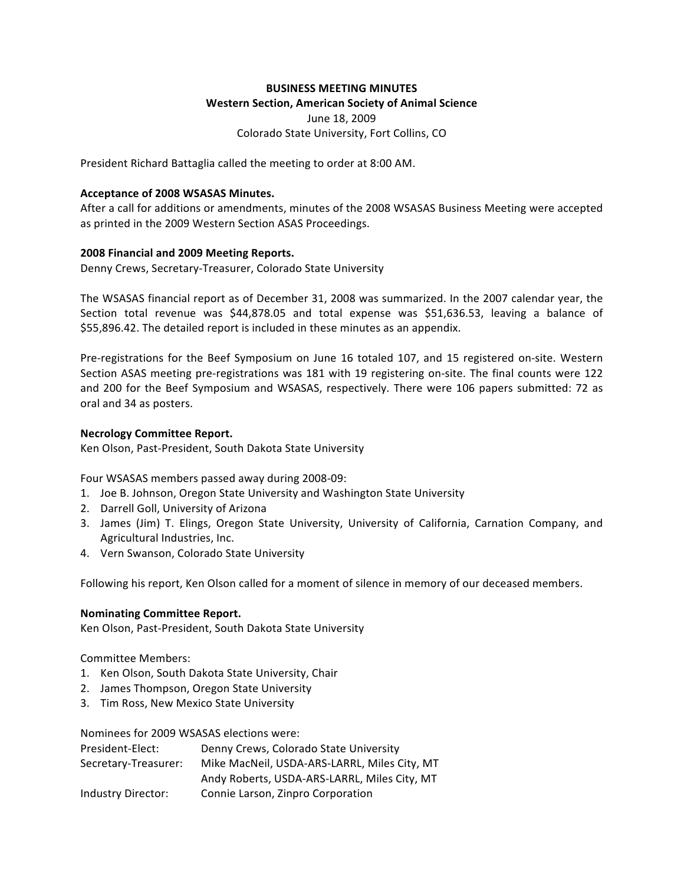## **BUSINESS MEETING MINUTES**

### **Western Section, American Society of Animal Science**

June 18, 2009 Colorado State University, Fort Collins, CO

President Richard Battaglia called the meeting to order at 8:00 AM.

### **Acceptance of 2008 WSASAS Minutes.**

After a call for additions or amendments, minutes of the 2008 WSASAS Business Meeting were accepted as printed in the 2009 Western Section ASAS Proceedings.

## **2008 Financial and 2009 Meeting Reports.**

Denny Crews, Secretary-Treasurer, Colorado State University

The WSASAS financial report as of December 31, 2008 was summarized. In the 2007 calendar year, the Section total revenue was \$44,878.05 and total expense was \$51,636.53, leaving a balance of \$55,896.42. The detailed report is included in these minutes as an appendix.

Pre-registrations for the Beef Symposium on June 16 totaled 107, and 15 registered on-site. Western Section ASAS meeting pre-registrations was 181 with 19 registering on-site. The final counts were 122 and 200 for the Beef Symposium and WSASAS, respectively. There were 106 papers submitted: 72 as oral and 34 as posters.

## **Necrology Committee Report.**

Ken Olson, Past-President, South Dakota State University

Four WSASAS members passed away during 2008-09:

- 1. Joe B. Johnson, Oregon State University and Washington State University
- 2. Darrell Goll, University of Arizona
- 3. James (Jim) T. Elings, Oregon State University, University of California, Carnation Company, and Agricultural Industries, Inc.
- 4. Vern Swanson, Colorado State University

Following his report, Ken Olson called for a moment of silence in memory of our deceased members.

#### **Nominating Committee Report.**

Ken Olson, Past-President, South Dakota State University

Committee Members:

- 1. Ken Olson, South Dakota State University, Chair
- 2. James Thompson, Oregon State University
- 3. Tim Ross, New Mexico State University

Nominees for 2009 WSASAS elections were:

| President-Elect:     | Denny Crews, Colorado State University       |  |
|----------------------|----------------------------------------------|--|
| Secretary-Treasurer: | Mike MacNeil, USDA-ARS-LARRL, Miles City, MT |  |
|                      | Andy Roberts, USDA-ARS-LARRL, Miles City, MT |  |
| Industry Director:   | Connie Larson, Zinpro Corporation            |  |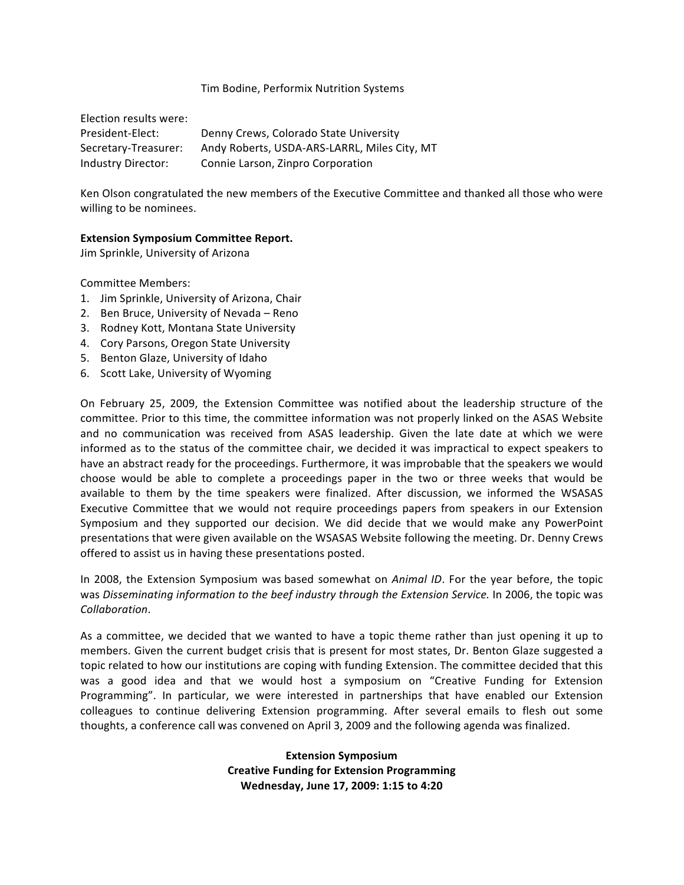#### Tim Bodine, Performix Nutrition Systems

| Election results were: |                                              |
|------------------------|----------------------------------------------|
| President-Elect:       | Denny Crews, Colorado State University       |
| Secretary-Treasurer:   | Andy Roberts, USDA-ARS-LARRL, Miles City, MT |
| Industry Director:     | Connie Larson, Zinpro Corporation            |

Ken Olson congratulated the new members of the Executive Committee and thanked all those who were willing to be nominees.

#### **Extension Symposium Committee Report.**

Jim Sprinkle, University of Arizona

Committee Members:

- 1. Jim Sprinkle, University of Arizona, Chair
- 2. Ben Bruce, University of Nevada Reno
- 3. Rodney Kott, Montana State University
- 4. Cory Parsons, Oregon State University
- 5. Benton Glaze, University of Idaho
- 6. Scott Lake, University of Wyoming

On February 25, 2009, the Extension Committee was notified about the leadership structure of the committee. Prior to this time, the committee information was not properly linked on the ASAS Website and no communication was received from ASAS leadership. Given the late date at which we were informed as to the status of the committee chair, we decided it was impractical to expect speakers to have an abstract ready for the proceedings. Furthermore, it was improbable that the speakers we would choose would be able to complete a proceedings paper in the two or three weeks that would be available to them by the time speakers were finalized. After discussion, we informed the WSASAS Executive Committee that we would not require proceedings papers from speakers in our Extension Symposium and they supported our decision. We did decide that we would make any PowerPoint presentations that were given available on the WSASAS Website following the meeting. Dr. Denny Crews offered to assist us in having these presentations posted.

In 2008, the Extension Symposium was based somewhat on *Animal ID*. For the year before, the topic was *Disseminating information to the beef industry through the Extension Service.* In 2006, the topic was *Collaboration*.

As a committee, we decided that we wanted to have a topic theme rather than just opening it up to members. Given the current budget crisis that is present for most states, Dr. Benton Glaze suggested a topic related to how our institutions are coping with funding Extension. The committee decided that this was a good idea and that we would host a symposium on "Creative Funding for Extension Programming". In particular, we were interested in partnerships that have enabled our Extension colleagues to continue delivering Extension programming. After several emails to flesh out some thoughts, a conference call was convened on April 3, 2009 and the following agenda was finalized.

> **Extension Symposium Creative Funding for Extension Programming Wednesday, June 17, 2009: 1:15 to 4:20**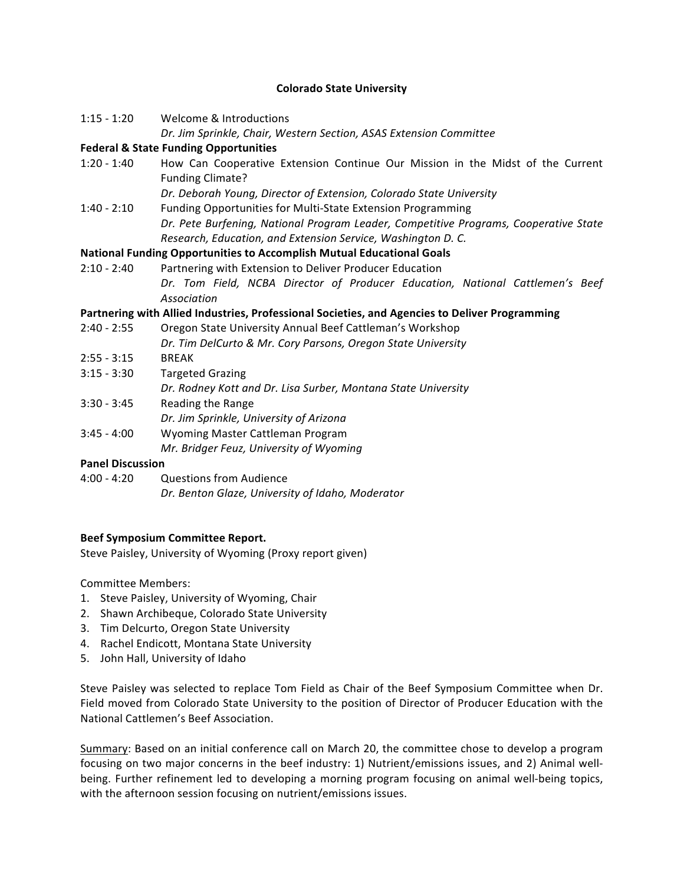## **Colorado State University**

| $1:15 - 1:20$ | Welcome & Introductions                                                                                                                                 |
|---------------|---------------------------------------------------------------------------------------------------------------------------------------------------------|
|               | Dr. Jim Sprinkle, Chair, Western Section, ASAS Extension Committee                                                                                      |
|               | <b>Federal &amp; State Funding Opportunities</b>                                                                                                        |
| $1:20 - 1:40$ | How Can Cooperative Extension Continue Our Mission in the Midst of the Current<br><b>Funding Climate?</b>                                               |
|               | Dr. Deborah Young, Director of Extension, Colorado State University                                                                                     |
| $1:40 - 2:10$ | Funding Opportunities for Multi-State Extension Programming                                                                                             |
|               | Dr. Pete Burfening, National Program Leader, Competitive Programs, Cooperative State<br>Research, Education, and Extension Service, Washington D. C.    |
|               | <b>National Funding Opportunities to Accomplish Mutual Educational Goals</b>                                                                            |
| 2:10 - 2:40   | Partnering with Extension to Deliver Producer Education<br>Dr. Tom Field, NCBA Director of Producer Education, National Cattlemen's Beef<br>Association |
|               | Partnering with Allied Industries, Professional Societies, and Agencies to Deliver Programming                                                          |
| 2:40 - 2:55   | Oregon State University Annual Beef Cattleman's Workshop<br>Dr. Tim DelCurto & Mr. Cory Parsons, Oregon State University                                |
| $2:55 - 3:15$ | <b>BREAK</b>                                                                                                                                            |
| $3:15 - 3:30$ | <b>Targeted Grazing</b><br>Dr. Rodney Kott and Dr. Lisa Surber, Montana State University                                                                |
| $3:30 - 3:45$ | Reading the Range<br>Dr. Jim Sprinkle, University of Arizona                                                                                            |
| $3:45 - 4:00$ | Wyoming Master Cattleman Program<br>Mr. Bridger Feuz, University of Wyoming                                                                             |

#### **Panel Discussion**

4:00 - 4:20 Questions from Audience *Dr. Benton Glaze, University of Idaho, Moderator*

#### **Beef Symposium Committee Report.**

Steve Paisley, University of Wyoming (Proxy report given)

Committee Members:

- 1. Steve Paisley, University of Wyoming, Chair
- 2. Shawn Archibeque, Colorado State University
- 3. Tim Delcurto, Oregon State University
- 4. Rachel Endicott, Montana State University
- 5. John Hall, University of Idaho

Steve Paisley was selected to replace Tom Field as Chair of the Beef Symposium Committee when Dr. Field moved from Colorado State University to the position of Director of Producer Education with the National Cattlemen's Beef Association.

Summary: Based on an initial conference call on March 20, the committee chose to develop a program focusing on two major concerns in the beef industry: 1) Nutrient/emissions issues, and 2) Animal wellbeing. Further refinement led to developing a morning program focusing on animal well-being topics, with the afternoon session focusing on nutrient/emissions issues.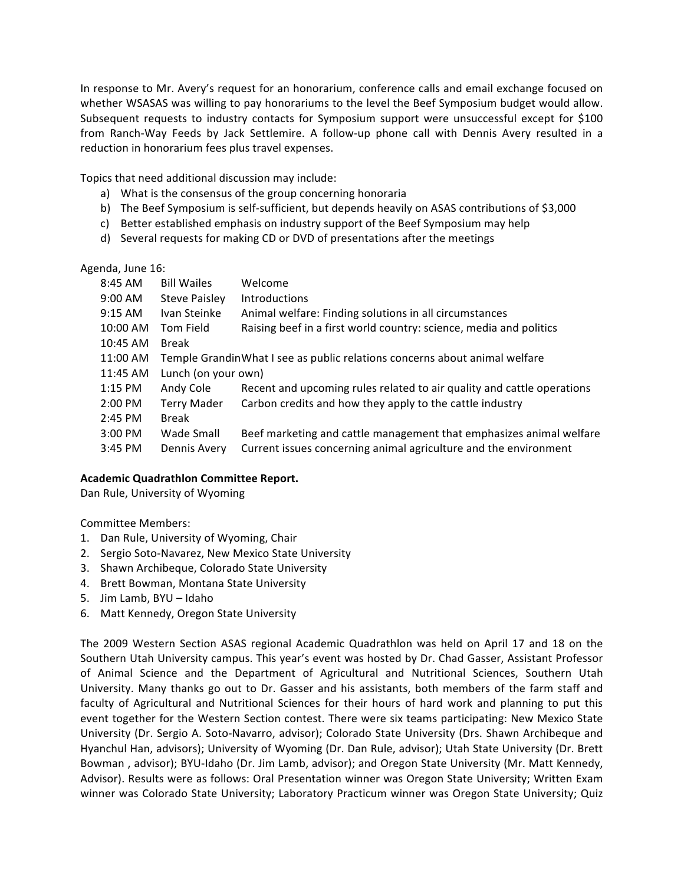In response to Mr. Avery's request for an honorarium, conference calls and email exchange focused on whether WSASAS was willing to pay honorariums to the level the Beef Symposium budget would allow. Subsequent requests to industry contacts for Symposium support were unsuccessful except for \$100 from Ranch-Way Feeds by Jack Settlemire. A follow-up phone call with Dennis Avery resulted in a reduction in honorarium fees plus travel expenses.

Topics that need additional discussion may include:

- a) What is the consensus of the group concerning honoraria
- b) The Beef Symposium is self-sufficient, but depends heavily on ASAS contributions of \$3,000
- c) Better established emphasis on industry support of the Beef Symposium may help
- d) Several requests for making CD or DVD of presentations after the meetings

# Agenda, June 16:

| 8:45 AM   | <b>Bill Wailes</b>                                                          | Welcome                                                                |  |
|-----------|-----------------------------------------------------------------------------|------------------------------------------------------------------------|--|
| 9:00 AM   | <b>Steve Paisley</b>                                                        | <b>Introductions</b>                                                   |  |
| $9:15$ AM | Ivan Steinke                                                                | Animal welfare: Finding solutions in all circumstances                 |  |
| 10:00 AM  | Tom Field                                                                   | Raising beef in a first world country: science, media and politics     |  |
| 10:45 AM  | Break                                                                       |                                                                        |  |
| 11:00 AM  | Temple Grandin What I see as public relations concerns about animal welfare |                                                                        |  |
| 11:45 AM  | Lunch (on your own)                                                         |                                                                        |  |
| $1:15$ PM | Andy Cole                                                                   | Recent and upcoming rules related to air quality and cattle operations |  |
| $2:00$ PM | <b>Terry Mader</b>                                                          | Carbon credits and how they apply to the cattle industry               |  |
| 2:45 PM   | Break                                                                       |                                                                        |  |
| $3:00$ PM | Wade Small                                                                  | Beef marketing and cattle management that emphasizes animal welfare    |  |
| $3:45$ PM | Dennis Avery                                                                | Current issues concerning animal agriculture and the environment       |  |

# **Academic Quadrathlon Committee Report.**

Dan Rule, University of Wyoming

Committee Members:

- 1. Dan Rule, University of Wyoming, Chair
- 2. Sergio Soto-Navarez, New Mexico State University
- 3. Shawn Archibeque, Colorado State University
- 4. Brett Bowman, Montana State University
- 5. Jim Lamb, BYU Idaho
- 6. Matt Kennedy, Oregon State University

The 2009 Western Section ASAS regional Academic Quadrathlon was held on April 17 and 18 on the Southern Utah University campus. This year's event was hosted by Dr. Chad Gasser, Assistant Professor of Animal Science and the Department of Agricultural and Nutritional Sciences, Southern Utah University. Many thanks go out to Dr. Gasser and his assistants, both members of the farm staff and faculty of Agricultural and Nutritional Sciences for their hours of hard work and planning to put this event together for the Western Section contest. There were six teams participating: New Mexico State University (Dr. Sergio A. Soto-Navarro, advisor); Colorado State University (Drs. Shawn Archibeque and Hyanchul Han, advisors); University of Wyoming (Dr. Dan Rule, advisor); Utah State University (Dr. Brett Bowman, advisor); BYU-Idaho (Dr. Jim Lamb, advisor); and Oregon State University (Mr. Matt Kennedy, Advisor). Results were as follows: Oral Presentation winner was Oregon State University; Written Exam winner was Colorado State University; Laboratory Practicum winner was Oregon State University; Quiz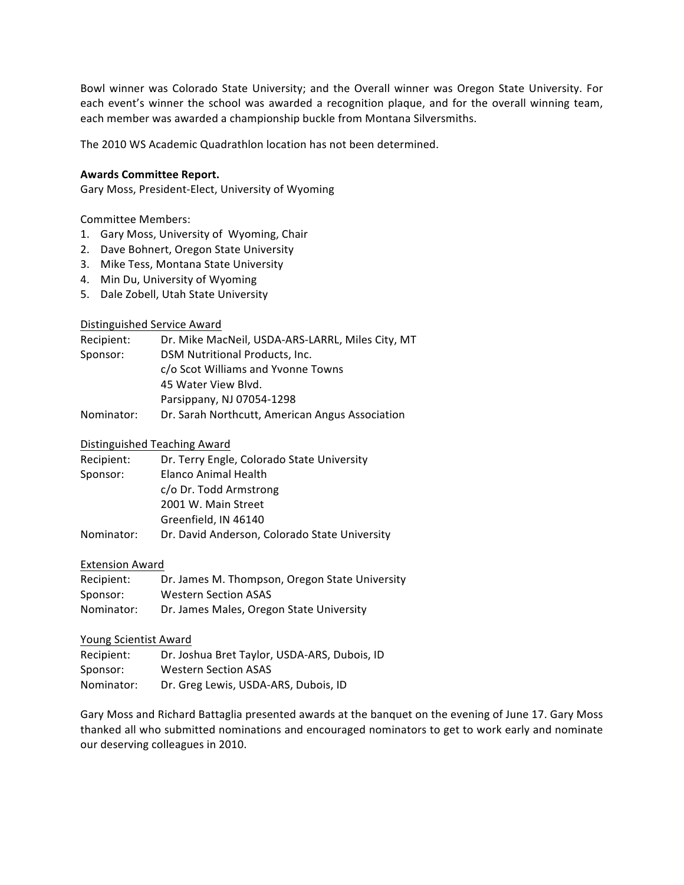Bowl winner was Colorado State University; and the Overall winner was Oregon State University. For each event's winner the school was awarded a recognition plaque, and for the overall winning team, each member was awarded a championship buckle from Montana Silversmiths.

The 2010 WS Academic Quadrathlon location has not been determined.

### **Awards Committee Report.**

Gary Moss, President-Elect, University of Wyoming

Committee Members:

- 1. Gary Moss, University of Wyoming, Chair
- 2. Dave Bohnert, Oregon State University
- 3. Mike Tess, Montana State University
- 4. Min Du, University of Wyoming
- 5. Dale Zobell, Utah State University

## Distinguished Service Award

| Recipient: | Dr. Mike MacNeil, USDA-ARS-LARRL, Miles City, MT |
|------------|--------------------------------------------------|
| Sponsor:   | DSM Nutritional Products, Inc.                   |
|            | c/o Scot Williams and Yvonne Towns               |
|            | 45 Water View Blvd.                              |
|            | Parsippany, NJ 07054-1298                        |
| Nominator: | Dr. Sarah Northcutt, American Angus Association  |

### Distinguished Teaching Award

| Recipient: | Dr. Terry Engle, Colorado State University    |
|------------|-----------------------------------------------|
| Sponsor:   | Elanco Animal Health                          |
|            | c/o Dr. Todd Armstrong                        |
|            | 2001 W. Main Street                           |
|            | Greenfield, IN 46140                          |
| Nominator: | Dr. David Anderson, Colorado State University |

#### Extension Award

| Recipient: | Dr. James M. Thompson, Oregon State University |
|------------|------------------------------------------------|
| Sponsor:   | <b>Western Section ASAS</b>                    |
| Nominator: | Dr. James Males, Oregon State University       |

#### Young Scientist Award

| Recipient: | Dr. Joshua Bret Taylor, USDA-ARS, Dubois, ID |
|------------|----------------------------------------------|
| Sponsor:   | <b>Western Section ASAS</b>                  |
| Nominator: | Dr. Greg Lewis, USDA-ARS, Dubois, ID         |

Gary Moss and Richard Battaglia presented awards at the banquet on the evening of June 17. Gary Moss thanked all who submitted nominations and encouraged nominators to get to work early and nominate our deserving colleagues in 2010.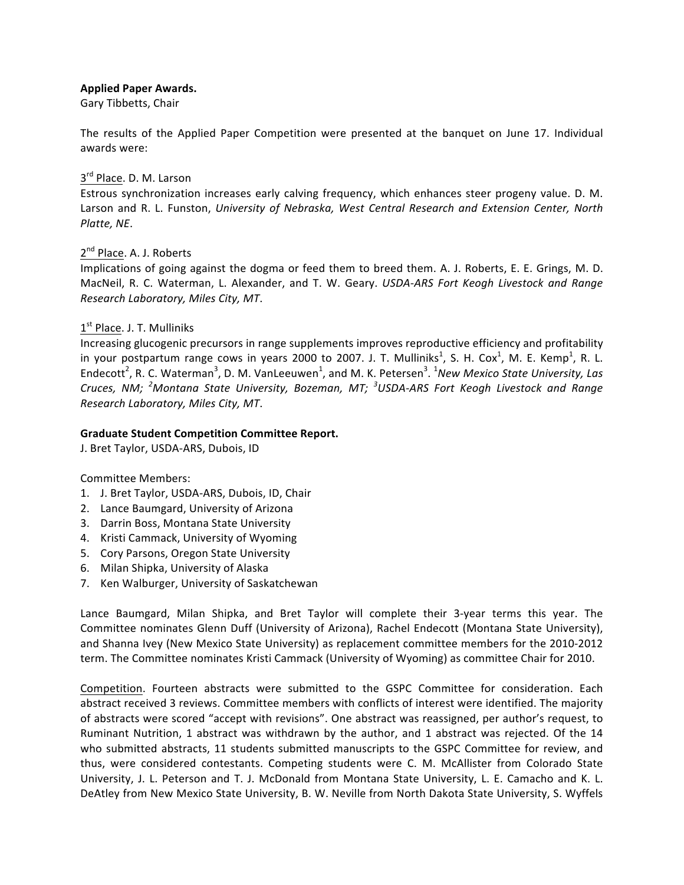# **Applied Paper Awards.**

Gary Tibbetts, Chair

The results of the Applied Paper Competition were presented at the banquet on June 17. Individual awards were:

## 3<sup>rd</sup> Place. D. M. Larson

Estrous synchronization increases early calving frequency, which enhances steer progeny value. D. M. Larson and R. L. Funston, *University of Nebraska, West Central Research and Extension Center, North Platte, NE*.

# 2<sup>nd</sup> Place. A. J. Roberts

Implications of going against the dogma or feed them to breed them. A. J. Roberts, E. E. Grings, M. D. MacNeil, R. C. Waterman, L. Alexander, and T. W. Geary. *USDA-ARS Fort Keogh Livestock and Range Research Laboratory, Miles City, MT*.

# $1<sup>st</sup>$  Place. J. T. Mulliniks

Increasing glucogenic precursors in range supplements improves reproductive efficiency and profitability in your postpartum range cows in years 2000 to 2007. J. T. Mulliniks<sup>1</sup>, S. H. Cox<sup>1</sup>, M. E. Kemp<sup>1</sup>, R. L. Endecott<sup>2</sup>, R. C. Waterman<sup>3</sup>, D. M. VanLeeuwen<sup>1</sup>, and M. K. Petersen<sup>3</sup>. <sup>1</sup>New Mexico State University, Las Cruces, NM; <sup>2</sup>Montana State University, Bozeman, MT; <sup>3</sup>USDA-ARS Fort Keogh Livestock and Range *Research Laboratory, Miles City, MT*.

## **Graduate Student Competition Committee Report.**

J. Bret Taylor, USDA-ARS, Dubois, ID

# Committee Members:

- 1. J. Bret Taylor, USDA-ARS, Dubois, ID, Chair
- 2. Lance Baumgard, University of Arizona
- 3. Darrin Boss, Montana State University
- 4. Kristi Cammack, University of Wyoming
- 5. Cory Parsons, Oregon State University
- 6. Milan Shipka, University of Alaska
- 7. Ken Walburger, University of Saskatchewan

Lance Baumgard, Milan Shipka, and Bret Taylor will complete their 3-year terms this year. The Committee nominates Glenn Duff (University of Arizona), Rachel Endecott (Montana State University), and Shanna Ivey (New Mexico State University) as replacement committee members for the 2010-2012 term. The Committee nominates Kristi Cammack (University of Wyoming) as committee Chair for 2010.

Competition. Fourteen abstracts were submitted to the GSPC Committee for consideration. Each abstract received 3 reviews. Committee members with conflicts of interest were identified. The majority of abstracts were scored "accept with revisions". One abstract was reassigned, per author's request, to Ruminant Nutrition, 1 abstract was withdrawn by the author, and 1 abstract was rejected. Of the 14 who submitted abstracts, 11 students submitted manuscripts to the GSPC Committee for review, and thus, were considered contestants. Competing students were C. M. McAllister from Colorado State University, J. L. Peterson and T. J. McDonald from Montana State University, L. E. Camacho and K. L. DeAtley from New Mexico State University, B. W. Neville from North Dakota State University, S. Wyffels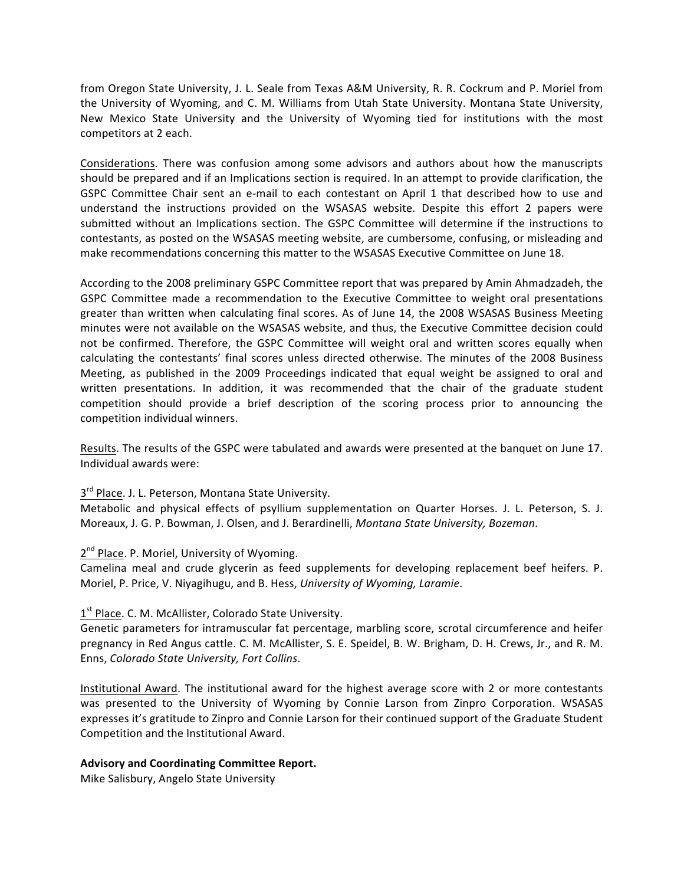from Oregon State University, J. L. Seale from Texas A&M University, R. R. Cockrum and P. Moriel from the University of Wyoming, and C. M. Williams from Utah State University. Montana State University, New Mexico State University and the University of Wyoming tied for institutions with the most competitors at 2 each.

Considerations. There was confusion among some advisors and authors about how the manuscripts should be prepared and if an Implications section is required. In an attempt to provide clarification, the GSPC Committee Chair sent an e-mail to each contestant on April 1 that described how to use and understand the instructions provided on the WSASAS website. Despite this effort 2 papers were submitted without an Implications section. The GSPC Committee will determine if the instructions to contestants, as posted on the WSASAS meeting website, are cumbersome, confusing, or misleading and make recommendations concerning this matter to the WSASAS Executive Committee on June 18.

According to the 2008 preliminary GSPC Committee report that was prepared by Amin Ahmadzadeh, the GSPC Committee made a recommendation to the Executive Committee to weight oral presentations greater than written when calculating final scores. As of June 14, the 2008 WSASAS Business Meeting minutes were not available on the WSASAS website, and thus, the Executive Committee decision could not be confirmed. Therefore, the GSPC Committee will weight oral and written scores equally when calculating the contestants' final scores unless directed otherwise. The minutes of the 2008 Business Meeting, as published in the 2009 Proceedings indicated that equal weight be assigned to oral and written presentations. In addition, it was recommended that the chair of the graduate student competition should provide a brief description of the scoring process prior to announcing the competition individual winners.

Results. The results of the GSPC were tabulated and awards were presented at the banquet on June 17. Individual awards were:

# $3<sup>rd</sup>$  Place. J. L. Peterson, Montana State University.

Metabolic and physical effects of psyllium supplementation on Quarter Horses. J. L. Peterson, S. J. Moreaux, J. G. P. Bowman, J. Olsen, and J. Berardinelli, *Montana State University, Bozeman*.

# 2<sup>nd</sup> Place. P. Moriel, University of Wyoming.

Camelina meal and crude glycerin as feed supplements for developing replacement beef heifers. P. Moriel, P. Price, V. Niyagihugu, and B. Hess, University of Wyoming, Laramie.

# $1<sup>st</sup>$  Place. C. M. McAllister, Colorado State University.

Genetic parameters for intramuscular fat percentage, marbling score, scrotal circumference and heifer pregnancy in Red Angus cattle. C. M. McAllister, S. E. Speidel, B. W. Brigham, D. H. Crews, Jr., and R. M. Enns, *Colorado State University*, Fort Collins.

Institutional Award. The institutional award for the highest average score with 2 or more contestants was presented to the University of Wyoming by Connie Larson from Zinpro Corporation. WSASAS expresses it's gratitude to Zinpro and Connie Larson for their continued support of the Graduate Student Competition and the Institutional Award.

# Advisory and Coordinating Committee Report.

Mike Salisbury, Angelo State University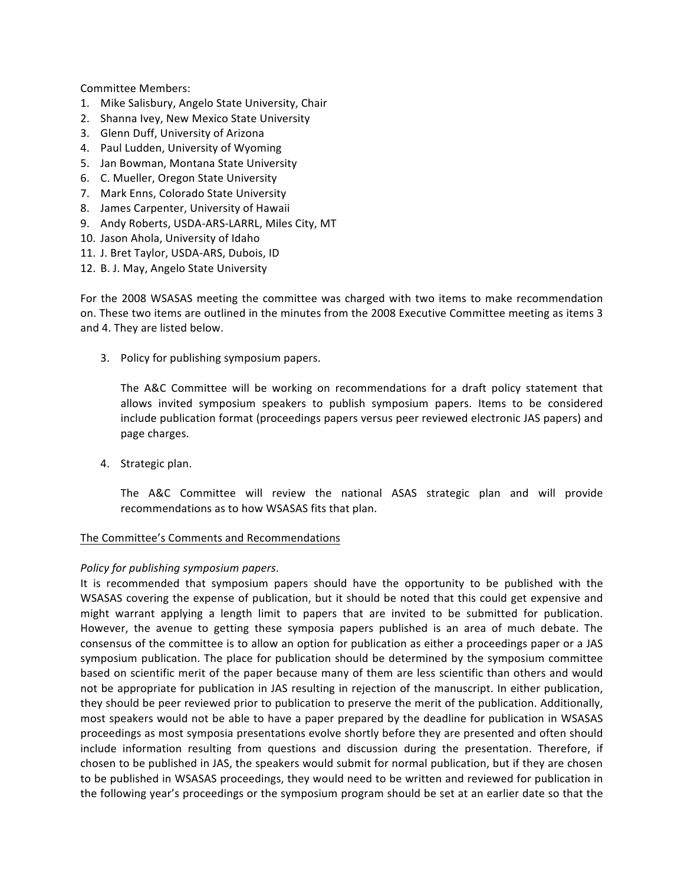Committee Members:

- 1. Mike Salisbury, Angelo State University, Chair
- 2. Shanna Ivey, New Mexico State University
- 3. Glenn Duff, University of Arizona
- 4. Paul Ludden, University of Wyoming
- 5. Jan Bowman, Montana State University
- 6. C. Mueller, Oregon State University
- 7. Mark Enns, Colorado State University
- 8. James Carpenter, University of Hawaii
- 9. Andy Roberts, USDA-ARS-LARRL, Miles City, MT
- 10. Jason Ahola, University of Idaho
- 11. J. Bret Taylor, USDA-ARS, Dubois, ID
- 12. B. J. May, Angelo State University

For the 2008 WSASAS meeting the committee was charged with two items to make recommendation on. These two items are outlined in the minutes from the 2008 Executive Committee meeting as items 3 and 4. They are listed below.

3. Policy for publishing symposium papers.

The A&C Committee will be working on recommendations for a draft policy statement that allows invited symposium speakers to publish symposium papers. Items to be considered include publication format (proceedings papers versus peer reviewed electronic JAS papers) and page charges.

4. Strategic plan.

The A&C Committee will review the national ASAS strategic plan and will provide recommendations as to how WSASAS fits that plan.

# The Committee's Comments and Recommendations

# *Policy for publishing symposium papers*.

It is recommended that symposium papers should have the opportunity to be published with the WSASAS covering the expense of publication, but it should be noted that this could get expensive and might warrant applying a length limit to papers that are invited to be submitted for publication. However, the avenue to getting these symposia papers published is an area of much debate. The consensus of the committee is to allow an option for publication as either a proceedings paper or a JAS symposium publication. The place for publication should be determined by the symposium committee based on scientific merit of the paper because many of them are less scientific than others and would not be appropriate for publication in JAS resulting in rejection of the manuscript. In either publication, they should be peer reviewed prior to publication to preserve the merit of the publication. Additionally, most speakers would not be able to have a paper prepared by the deadline for publication in WSASAS proceedings as most symposia presentations evolve shortly before they are presented and often should include information resulting from questions and discussion during the presentation. Therefore, if chosen to be published in JAS, the speakers would submit for normal publication, but if they are chosen to be published in WSASAS proceedings, they would need to be written and reviewed for publication in the following year's proceedings or the symposium program should be set at an earlier date so that the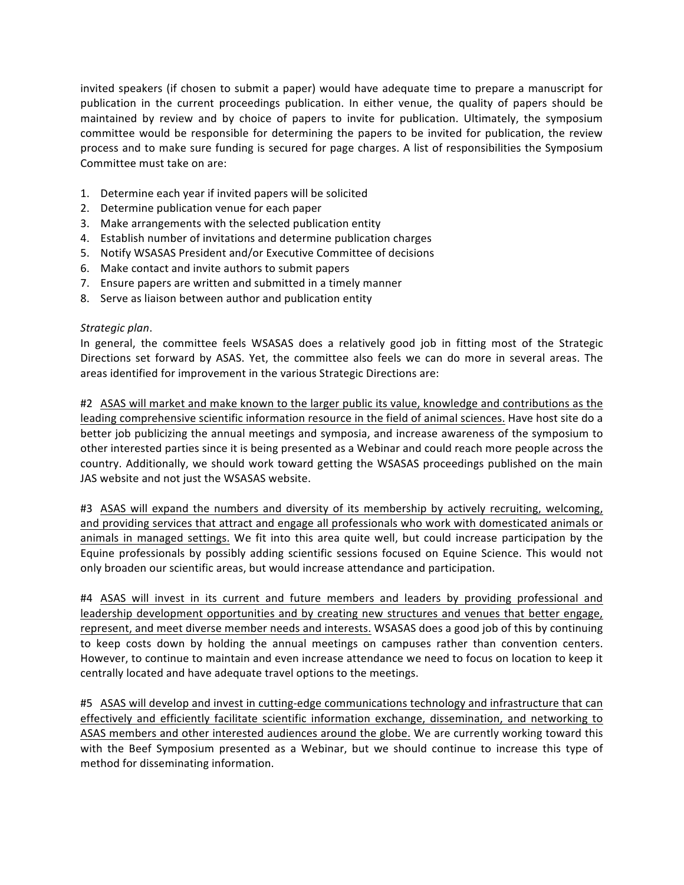invited speakers (if chosen to submit a paper) would have adequate time to prepare a manuscript for publication in the current proceedings publication. In either venue, the quality of papers should be maintained by review and by choice of papers to invite for publication. Ultimately, the symposium committee would be responsible for determining the papers to be invited for publication, the review process and to make sure funding is secured for page charges. A list of responsibilities the Symposium Committee must take on are:

- 1. Determine each year if invited papers will be solicited
- 2. Determine publication venue for each paper
- 3. Make arrangements with the selected publication entity
- 4. Establish number of invitations and determine publication charges
- 5. Notify WSASAS President and/or Executive Committee of decisions
- 6. Make contact and invite authors to submit papers
- 7. Ensure papers are written and submitted in a timely manner
- 8. Serve as liaison between author and publication entity

## *Strategic plan*.

In general, the committee feels WSASAS does a relatively good job in fitting most of the Strategic Directions set forward by ASAS. Yet, the committee also feels we can do more in several areas. The areas identified for improvement in the various Strategic Directions are:

#2 ASAS will market and make known to the larger public its value, knowledge and contributions as the leading comprehensive scientific information resource in the field of animal sciences. Have host site do a better job publicizing the annual meetings and symposia, and increase awareness of the symposium to other interested parties since it is being presented as a Webinar and could reach more people across the country. Additionally, we should work toward getting the WSASAS proceedings published on the main JAS website and not just the WSASAS website.

#3 ASAS will expand the numbers and diversity of its membership by actively recruiting, welcoming, and providing services that attract and engage all professionals who work with domesticated animals or animals in managed settings. We fit into this area quite well, but could increase participation by the Equine professionals by possibly adding scientific sessions focused on Equine Science. This would not only broaden our scientific areas, but would increase attendance and participation.

#4 ASAS will invest in its current and future members and leaders by providing professional and leadership development opportunities and by creating new structures and venues that better engage, represent, and meet diverse member needs and interests. WSASAS does a good job of this by continuing to keep costs down by holding the annual meetings on campuses rather than convention centers. However, to continue to maintain and even increase attendance we need to focus on location to keep it centrally located and have adequate travel options to the meetings.

#5 ASAS will develop and invest in cutting-edge communications technology and infrastructure that can effectively and efficiently facilitate scientific information exchange, dissemination, and networking to ASAS members and other interested audiences around the globe. We are currently working toward this with the Beef Symposium presented as a Webinar, but we should continue to increase this type of method for disseminating information.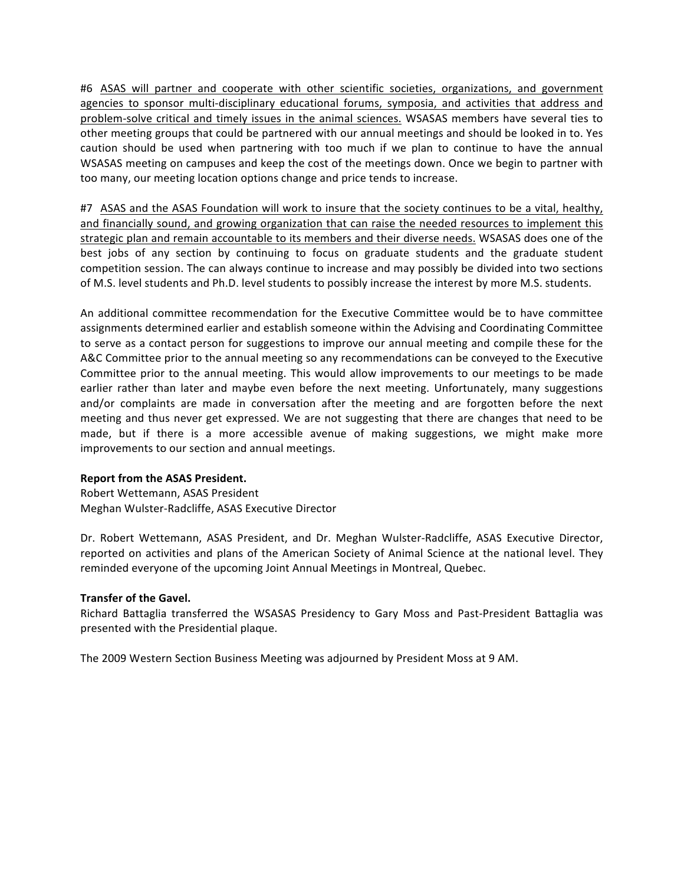#6 ASAS will partner and cooperate with other scientific societies, organizations, and government agencies to sponsor multi-disciplinary educational forums, symposia, and activities that address and problem-solve critical and timely issues in the animal sciences. WSASAS members have several ties to other meeting groups that could be partnered with our annual meetings and should be looked in to. Yes caution should be used when partnering with too much if we plan to continue to have the annual WSASAS meeting on campuses and keep the cost of the meetings down. Once we begin to partner with too many, our meeting location options change and price tends to increase.

#7 ASAS and the ASAS Foundation will work to insure that the society continues to be a vital, healthy, and financially sound, and growing organization that can raise the needed resources to implement this strategic plan and remain accountable to its members and their diverse needs. WSASAS does one of the best jobs of any section by continuing to focus on graduate students and the graduate student competition session. The can always continue to increase and may possibly be divided into two sections of M.S. level students and Ph.D. level students to possibly increase the interest by more M.S. students.

An additional committee recommendation for the Executive Committee would be to have committee assignments determined earlier and establish someone within the Advising and Coordinating Committee to serve as a contact person for suggestions to improve our annual meeting and compile these for the A&C Committee prior to the annual meeting so any recommendations can be conveyed to the Executive Committee prior to the annual meeting. This would allow improvements to our meetings to be made earlier rather than later and maybe even before the next meeting. Unfortunately, many suggestions and/or complaints are made in conversation after the meeting and are forgotten before the next meeting and thus never get expressed. We are not suggesting that there are changes that need to be made, but if there is a more accessible avenue of making suggestions, we might make more improvements to our section and annual meetings.

#### **Report from the ASAS President.**

Robert Wettemann, ASAS President Meghan Wulster-Radcliffe, ASAS Executive Director

Dr. Robert Wettemann, ASAS President, and Dr. Meghan Wulster-Radcliffe, ASAS Executive Director, reported on activities and plans of the American Society of Animal Science at the national level. They reminded everyone of the upcoming Joint Annual Meetings in Montreal, Quebec.

#### **Transfer of the Gavel.**

Richard Battaglia transferred the WSASAS Presidency to Gary Moss and Past-President Battaglia was presented with the Presidential plaque.

The 2009 Western Section Business Meeting was adjourned by President Moss at 9 AM.